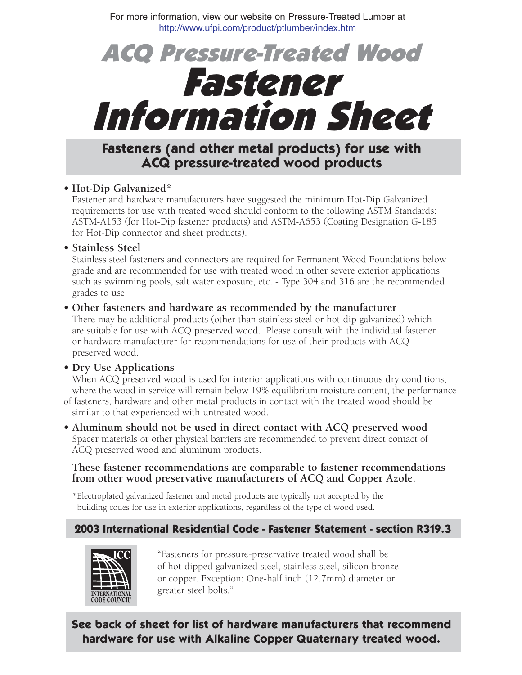For more information, view our website on Pressure-Treated Lumber at <http://www.ufpi.com/product/ptlumber/index.htm>



# Fasteners (and other metal products) for use with ACQ pressure-treated wood products

## **• Hot-Dip Galvanized\***

Fastener and hardware manufacturers have suggested the minimum Hot-Dip Galvanized requirements for use with treated wood should conform to the following ASTM Standards: ASTM-A153 (for Hot-Dip fastener products) and ASTM-A653 (Coating Designation G-185 for Hot-Dip connector and sheet products).

**• Stainless Steel**

Stainless steel fasteners and connectors are required for Permanent Wood Foundations below grade and are recommended for use with treated wood in other severe exterior applications such as swimming pools, salt water exposure, etc. - Type 304 and 316 are the recommended grades to use.

#### **• Other fasteners and hardware as recommended by the manufacturer**

There may be additional products (other than stainless steel or hot-dip galvanized) which are suitable for use with ACQ preserved wood. Please consult with the individual fastener or hardware manufacturer for recommendations for use of their products with ACQ preserved wood.

#### **• Dry Use Applications**

When ACQ preserved wood is used for interior applications with continuous dry conditions, where the wood in service will remain below 19% equilibrium moisture content, the performance of fasteners, hardware and other metal products in contact with the treated wood should be

similar to that experienced with untreated wood.

**• Aluminum should not be used in direct contact with ACQ preserved wood** Spacer materials or other physical barriers are recommended to prevent direct contact of ACQ preserved wood and aluminum products.

## **These fastener recommendations are comparable to fastener recommendations from other wood preservative manufacturers of ACQ and Copper Azole.**

\*Electroplated galvanized fastener and metal products are typically not accepted by the building codes for use in exterior applications, regardless of the type of wood used.

## 2003 International Residential Code - Fastener Statement - section R319.3



"Fasteners for pressure-preservative treated wood shall be of hot-dipped galvanized steel, stainless steel, silicon bronze or copper. Exception: One-half inch (12.7mm) diameter or greater steel bolts."

See back of sheet for list of hardware manufacturers that recommend hardware for use with Alkaline Copper Quaternary treated wood.